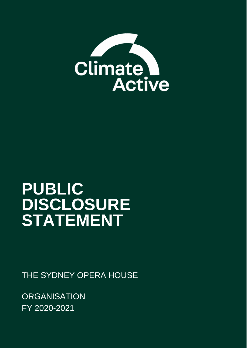

# **PUBLIC DISCLOSURE STATEMENT**

THE SYDNEY OPERA HOUSE

**ORGANISATION** FY 2020-2021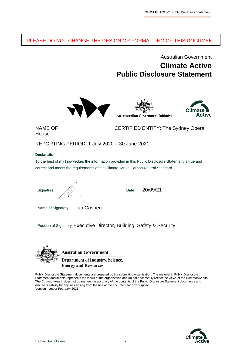### PLEASE DO NOT CHANGE THE DESIGN OR FORMATTING OF THIS DOCUMENT

### Australian Government **Climate Active Public Disclosure Statement**





House

NAME OF CERTIFIED ENTITY: The Sydney Opera

REPORTING PERIOD: 1 July 2020 – 30 June 2021

#### **Declaration**

To the best of my knowledge, the information provided in this Public Disclosure Statement is true and correct and meets the requirements of the Climate Active Carbon Neutral Standard.

Signature  $\mathbb{Z}/\mathbb{Z}$  Date

20/09/21

Name of Signatory Ian Cashen

Position of Signatory Executive Director, Building, Safety & Security



**Australian Government** 

**Department of Industry, Science, Energy and Resources** 

Public Disclosure Statement documents are prepared by the submitting organisation. The material in Public Disclosure Statement documents represents the views of the organisation and do not necessarily reflect the views of the Commonwealth. The Commonwealth does not guarantee the accuracy of the contents of the Public Disclosure Statement documents and disclaims liability for any loss arising from the use of the document for any purpose. Version number February 2021

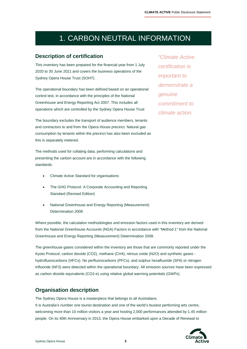### 1.CARBON NEUTRAL INFORMATION

#### **Description of certification**

This inventory has been prepared for the financial year from 1 July 2020 to 30 June 2021 and covers the business operations of the Sydney Opera House Trust (SOHT).

The operational boundary has been defined based on an operational control test, in accordance with the principles of the National Greenhouse and Energy Reporting Act 2007. This includes all operations which are controlled by the Sydney Opera House Trust

The boundary excludes the transport of audience members, tenants and contractors to and from the Opera House precinct. Natural gas consumption by tenants within the precinct has also been excluded as this is separately metered.

The methods used for collating data, performing calculations and presenting the carbon account are in accordance with the following standards:

- Climate Active Standard for organisations
- The GHG Protocol: A Corporate Accounting and Reporting Standard (Revised Edition)
- National Greenhouse and Energy Reporting (Measurement) Determination 2008

Where possible, the calculation methodologies and emission factors used in this inventory are derived from the National Greenhouse Accounts (NGA) Factors in accordance with "Method 1" from the National Greenhouse and Energy Reporting (Measurement) Determination 2008.

The greenhouse gases considered within the inventory are those that are commonly reported under the Kyoto Protocol; carbon dioxide (CO2), methane (CH4), nitrous oxide (N2O) and synthetic gases hydrofluorocarbons (HFCs). No perfluorocarbons (PFCs), and sulphur hexafluoride (SF6) or nitrogen trifluoride (NF3) were detected within the operational boundary. All emission sources have been expressed as carbon dioxide equivalents (CO2-e) using relative global warming potentials (GWPs).

#### **Organisation description**

The Sydney Opera House is a masterpiece that belongs to all Australians. It is Australia's number one tourist destination and one of the world's busiest performing arts centre, welcoming more than 10 million visitors a year and hosting 2,000 performances attended by 1.45 million people. On its 40th Anniversary in 2013, the Opera House embarked upon a Decade of Renewal to

*"Climate Active certification is important to demonstrate a genuine commitment to climate action.*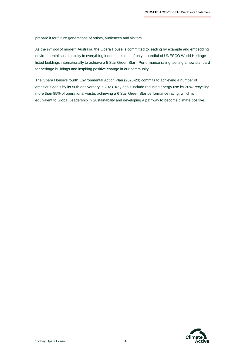prepare it for future generations of artists, audiences and visitors.

As the symbol of modern Australia, the Opera House is committed to leading by example and embedding environmental sustainability in everything it does. It is one of only a handful of UNESCO World Heritagelisted buildings internationally to achieve a 5 Star Green Star - Performance rating, setting a new standard for heritage buildings and inspiring positive change in our community.

The Opera House's fourth Environmental Action Plan (2020-23) commits to achieving a number of ambitious goals by its 50th anniversary in 2023. Key goals include reducing energy use by 20%; recycling more than 85% of operational waste; achieving a 6 Star Green Star performance rating, which is equivalent to Global Leadership in Sustainability and developing a pathway to become climate positive.

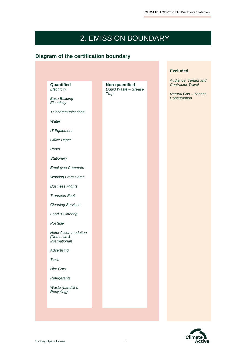# 2.EMISSION BOUNDARY

### **Diagram of the certification boundary**

|                                                                                        |                                                 |  | <b>Excluded</b>                                                                                |
|----------------------------------------------------------------------------------------|-------------------------------------------------|--|------------------------------------------------------------------------------------------------|
| Quantified<br>Electricity<br><b>Base Building</b><br>Electricity<br>Telecommunications | Non-quantified<br>Liquid Waste - Grease<br>Trap |  | Audience, Tenant and<br><b>Contractor Travel</b><br><b>Natural Gas - Tenant</b><br>Consumption |
| Water<br><b>IT Equipment</b><br>Office Paper                                           |                                                 |  |                                                                                                |
| Paper<br>Stationery                                                                    |                                                 |  |                                                                                                |
| <b>Employee Commute</b><br><b>Working From Home</b>                                    |                                                 |  |                                                                                                |
| <b>Business Flights</b><br><b>Transport Fuels</b><br><b>Cleaning Services</b>          |                                                 |  |                                                                                                |
| Food & Catering<br>Postage                                                             |                                                 |  |                                                                                                |
| <b>Hotel Accommodation</b><br>(Domestic &<br>International)                            |                                                 |  |                                                                                                |
| Advertising<br><b>Taxis</b><br><b>Hire Cars</b>                                        |                                                 |  |                                                                                                |
| Refrigerants<br>Waste (Landfill &<br>Recycling)                                        |                                                 |  |                                                                                                |
|                                                                                        |                                                 |  |                                                                                                |

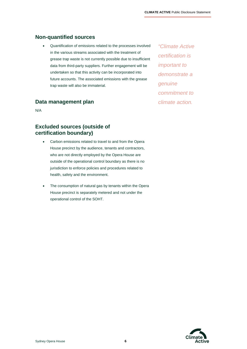### **Non-quantified sources**

 Quantification of emissions related to the processes involved in the various streams associated with the treatment of grease trap waste is not currently possible due to insufficient data from third-party suppliers. Further engagement will be undertaken so that this activity can be incorporated into future accounts. The associated emissions with the grease trap waste will also be immaterial.

#### **Data management plan**

N/A

### **Excluded sources (outside of certification boundary)**

- Carbon emissions related to travel to and from the Opera House precinct by the audience, tenants and contractors, who are not directly employed by the Opera House are outside of the operational control boundary as there is no jurisdiction to enforce policies and procedures related to health, safety and the environment.
- The consumption of natural gas by tenants within the Opera House precinct is separately metered and not under the operational control of the SOHT.

*"Climate Active certification is important to demonstrate a genuine commitment to climate action.* 

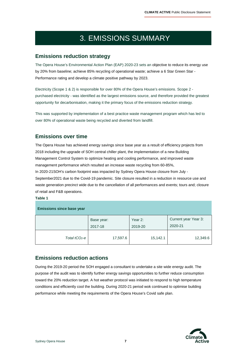# 3.EMISSIONS SUMMARY

### **Emissions reduction strategy**

The Opera House's Environmental Action Plan (EAP) 2020-23 sets an objective to reduce its energy use by 20% from baseline; achieve 85% recycling of operational waste; achieve a 6 Star Green Star -Performance rating and develop a climate positive pathway by 2023.

Electricity (Scope 1 & 2) is responsible for over 80% of the Opera House's emissions. Scope 2 purchased electricity - was identified as the largest emissions source, and therefore provided the greatest opportunity for decarbonisation, making it the primary focus of the emissions reduction strategy.

This was supported by implementation of a best practice waste management program which has led to over 80% of operational waste being recycled and diverted from landfill.

### **Emissions over time**

The Opera House has achieved energy savings since base year as a result of efficiency projects from 2018 including the upgrade of SOH central chiller plant, the implementation of a new Building Management Control System to optimize heating and cooling performance, and improved waste management performance which resulted an increase waste recycling from 60-85%, In 2020-21SOH's carbon footprint was impacted by Sydney Opera House closure from July - September2021 due to the Covid-19 pandemic. Site closure resulted in a reduction in resource use and waste generation precinct wide due to the cancellation of all performances and events; tours and; closure of retail and F&B operations.

#### **Table 1**

| <b>Emissions since base year</b> |                       |                    |                                 |
|----------------------------------|-----------------------|--------------------|---------------------------------|
|                                  | Base year:<br>2017-18 | Year 2:<br>2019-20 | Current year Year 3:<br>2020-21 |
| Total $tCO2$ -e                  | 17,597.6              | 15,142.1           | 12,349.6                        |

### **Emissions reduction actions**

During the 2019-20 period the SOH engaged a consultant to undertake a site wide energy audit. The purpose of the audit was to identify further energy savings opportunities to further reduce consumption toward the 20% reduction target. A hot weather protocol was initiated to respond to high temperature conditions and efficiently cool the building. During 2020-21 period wok continued to optimise building performance while meeting the requirements of the Opera House's Covid safe plan.

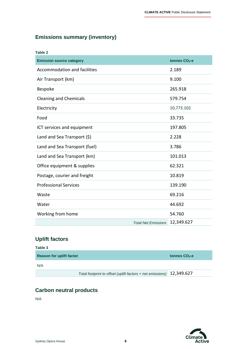### **Emissions summary (inventory)**

| Table 2                         |                            |                           |
|---------------------------------|----------------------------|---------------------------|
| <b>Emission source category</b> |                            | tonnes CO <sub>2</sub> -e |
| Accommodation and facilities    |                            | 2.189                     |
| Air Transport (km)              |                            | 9.100                     |
| <b>Bespoke</b>                  |                            | 265.918                   |
| <b>Cleaning and Chemicals</b>   |                            | 579.754                   |
| Electricity                     |                            | 10,773.102                |
| Food                            |                            | 33.735                    |
| ICT services and equipment      |                            | 197.805                   |
| Land and Sea Transport (\$)     |                            | 2.228                     |
| Land and Sea Transport (fuel)   |                            | 3.786                     |
| Land and Sea Transport (km)     |                            | 101.013                   |
| Office equipment & supplies     |                            | 62.321                    |
| Postage, courier and freight    |                            | 10.819                    |
| <b>Professional Services</b>    |                            | 139.190                   |
| Waste                           |                            | 69.216                    |
| Water                           |                            | 44.692                    |
| Working from home               |                            | 54.760                    |
|                                 | <b>Total Net Emissions</b> | 12,349.627                |

### **Uplift factors**

| Table 3                         |                                                                       |                           |
|---------------------------------|-----------------------------------------------------------------------|---------------------------|
| <b>Reason for uplift factor</b> |                                                                       | tonnes CO <sub>2</sub> -e |
| N/A                             |                                                                       |                           |
|                                 | Total footprint to offset (uplift factors + net emissions) 12,349.627 |                           |

### **Carbon neutral products**

N/A

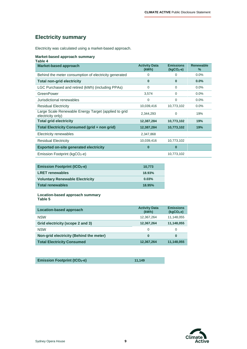### **Electricity summary**

Electricity was calculated using a market-based approach.

#### **Market-based approach summary**

| <b>Market-based approach</b>                                              | <b>Activity Data</b><br>(kWh) | <b>Emissions</b><br>$(kgCO2-e)$ | <b>Renewable</b><br>$\%$ |
|---------------------------------------------------------------------------|-------------------------------|---------------------------------|--------------------------|
| Behind the meter consumption of electricity generated                     | 0                             | 0                               | 0.0%                     |
| <b>Total non-grid electricity</b>                                         | $\bf{0}$                      | $\bf{0}$                        | 0.0%                     |
| LGC Purchased and retired (kWh) (including PPAs)                          | $\Omega$                      | $\Omega$                        | $0.0\%$                  |
| GreenPower                                                                | 3,574                         | $\Omega$                        | 0.0%                     |
| Jurisdictional renewables                                                 | $\Omega$                      | $\Omega$                        | 0.0%                     |
| <b>Residual Electricity</b>                                               | 10,039,416                    | 10,773,102                      | 0.0%                     |
| Large Scale Renewable Energy Target (applied to grid<br>electricity only) | 2,344,293                     | 0                               | 19%                      |
| <b>Total grid electricity</b>                                             | 12,387,284                    | 10,773,102                      | 19%                      |
| Total Electricity Consumed (grid + non grid)                              | 12,387,284                    | 10,773,102                      | 19%                      |
| Electricity renewables                                                    | 2,347,868                     |                                 |                          |
| <b>Residual Electricity</b>                                               | 10,039,416                    | 10,773,102                      |                          |
| <b>Exported on-site generated electricity</b>                             | $\bf{0}$                      | $\bf{0}$                        |                          |
| Emission Footprint ( $kgCO2$ -e)                                          |                               | 10,773,102                      |                          |

| <b>Emission Footprint (tCO2-e)</b>     | 10.773 |
|----------------------------------------|--------|
| <b>LRET renewables</b>                 | 18.93% |
| <b>Voluntary Renewable Electricity</b> | 0.03%  |
| <b>Total renewables</b>                | 18.95% |

#### **Location-based approach summary Table 5**

| Location-based approach                 | <b>Activity Data</b><br>(kWh) | <b>Emissions</b><br>(kqCO <sub>2</sub> .e) |
|-----------------------------------------|-------------------------------|--------------------------------------------|
| <b>NSW</b>                              | 12,367,264                    | 11,148,055                                 |
| Grid electricity (scope 2 and 3)        | 12,367,264                    | 11,148,055                                 |
| <b>NSW</b>                              | 0                             | 0                                          |
| Non-grid electricity (Behind the meter) | 0                             | O                                          |
| <b>Total Electricity Consumed</b>       | 12,367,264                    | 11,148,055                                 |

| <b>Emission Footprint (tCO<sub>2</sub>-e)</b> |
|-----------------------------------------------|
|-----------------------------------------------|



**Emission Footprint (tCO2-e) 11,149**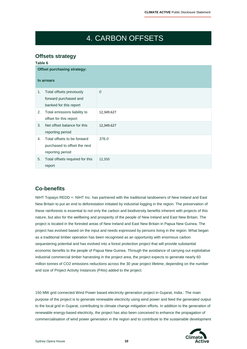# 4.CARBON OFFSETS

### **Offsets strategy**

| Table 6 |                                                                                 |            |
|---------|---------------------------------------------------------------------------------|------------|
|         | <b>Offset purchasing strategy:</b>                                              |            |
|         | In arrears                                                                      |            |
| 1.      | Total offsets previously<br>forward purchased and<br>banked for this report     | 0          |
| 2.      | Total emissions liability to<br>offset for this report                          | 12,349.627 |
| 3.      | Net offset balance for this<br>reporting period                                 | 12,349.627 |
| 4.      | Total offsets to be forward<br>purchased to offset the next<br>reporting period | 376.0      |
| 5.      | Total offsets required for this<br>report                                       | 12,350     |

### **Co-benefits**

NIHT Topaiyo REDD +: NIHT Inc. has partnered with the traditional landowners of New Ireland and East New Britain to put an end to deforestation initiated by industrial logging in the region. The preservation of these rainforests is essential to not only the carbon and biodiversity benefits inherent with projects of this nature, but also for the wellbeing and prosperity of the people of New Ireland and East New Britain. The project is located in the forested areas of New Ireland and East New Britain in Papua New Guinea. The project has evolved based on the input and needs expressed by persons living in the region. What began as a traditional timber operation has been recognised as an opportunity with enormous carbon sequestering potential and has evolved into a forest protection project that will provide substantial economic benefits to the people of Papua New Guinea. Through the avoidance of carrying out exploitative industrial commercial timber harvesting in the project area, the project expects to generate nearly 60 million tonnes of CO2 emissions reductions across the 30 year project lifetime, depending on the number and size of Project Activity Instances (PAIs) added to the project.

150 MW grid connected Wind Power based electricity generation project in Gujarat, India.: The main purpose of the project is to generate renewable electricity using wind power and feed the generated output to the local grid in Gujarat, contributing to climate change mitigation efforts. In addition to the generation of renewable energy-based electricity, the project has also been conceived to enhance the propagation of commercialisation of wind power generation in the region and to contribute to the sustainable development

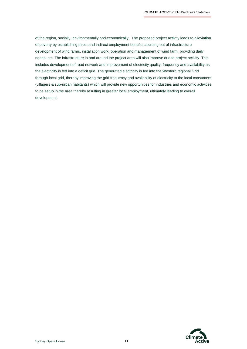of the region, socially, environmentally and economically. The proposed project activity leads to alleviation of poverty by establishing direct and indirect employment benefits accruing out of infrastructure development of wind farms, installation work, operation and management of wind farm, providing daily needs, etc. The infrastructure in and around the project area will also improve due to project activity. This includes development of road network and improvement of electricity quality, frequency and availability as the electricity is fed into a deficit grid. The generated electricity is fed into the Western regional Grid through local grid, thereby improving the grid frequency and availability of electricity to the local consumers (villagers & sub-urban habitants) which will provide new opportunities for industries and economic activities to be setup in the area thereby resulting in greater local employment, ultimately leading to overall development.

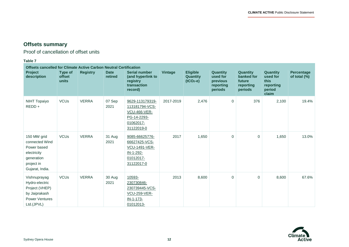$\overline{\phantom{a}}$ 

### **Offsets summary**

Proof of cancellation of offset units

#### **Table 7**

| <b>Offsets cancelled for Climate Active Carbon Neutral Certification</b>                                   |                            |                 |                        |                                                                                                    |                |                                                  |                                                                 |                                                          |                                                              |                                      |
|------------------------------------------------------------------------------------------------------------|----------------------------|-----------------|------------------------|----------------------------------------------------------------------------------------------------|----------------|--------------------------------------------------|-----------------------------------------------------------------|----------------------------------------------------------|--------------------------------------------------------------|--------------------------------------|
| <b>Project</b><br>description                                                                              | Type of<br>offset<br>units | <b>Registry</b> | <b>Date</b><br>retired | <b>Serial number</b><br>(and hyperlink to<br>registry<br>transaction<br>record)                    | <b>Vintage</b> | <b>Eligible</b><br><b>Quantity</b><br>$(tCO2-e)$ | <b>Quantity</b><br>used for<br>previous<br>reporting<br>periods | Quantity<br>banked for<br>future<br>reporting<br>periods | Quantity<br>used for<br>this<br>reporting<br>period<br>claim | <b>Percentage</b><br>of total $(\%)$ |
| <b>NIHT Topaiyo</b><br>$REDD +$                                                                            | <b>VCU<sub>s</sub></b>     | <b>VERRA</b>    | 07 Sep<br>2021         | 9629-113179319-<br>113181794-VCS-<br><b>VCU-466-VER-</b><br>PG-14-2293-<br>01062017-<br>31122019-0 | 2017-2019      | 2,476                                            | $\mathbf{0}$                                                    | 376                                                      | 2,100                                                        | 19.4%                                |
| 150 MW grid<br>connected Wind<br>Power based<br>electricity<br>generation<br>project in<br>Gujarat, India. | <b>VCUs</b>                | <b>VERRA</b>    | 31 Aug<br>2021         | 9085-66625776-<br>66627425-VCS-<br><b>VCU-1491-VER-</b><br>IN-1-292-<br>01012017-<br>31122017-0    | 2017           | 1,650                                            | $\mathbf 0$                                                     | $\mathbf 0$                                              | 1,650                                                        | 13.0%                                |
| Vishnuprayag<br>Hydro-electric<br>Project (VHEP)<br>by Jaiprakash<br><b>Power Ventures</b><br>Ltd.(JPVL)   | <b>VCU<sub>s</sub></b>     | <b>VERRA</b>    | 30 Aug<br>2021         | 10593-<br>230730846-<br>230739445-VCS-<br><b>VCU-259-VER-</b><br>IN-1-173-<br>01012013-            | 2013           | 8,600                                            | $\mathbf 0$                                                     | $\mathbf 0$                                              | 8,600                                                        | 67.6%                                |

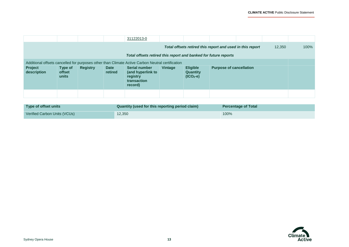÷

|                                                                 |                                                                                                  |                 |                        | 31122013-0                                                               |         |                                                  |                                                           |  |        |      |
|-----------------------------------------------------------------|--------------------------------------------------------------------------------------------------|-----------------|------------------------|--------------------------------------------------------------------------|---------|--------------------------------------------------|-----------------------------------------------------------|--|--------|------|
|                                                                 |                                                                                                  |                 |                        |                                                                          |         |                                                  | Total offsets retired this report and used in this report |  | 12,350 | 100% |
| Total offsets retired this report and banked for future reports |                                                                                                  |                 |                        |                                                                          |         |                                                  |                                                           |  |        |      |
|                                                                 | Additional offsets cancelled for purposes other than Climate Active Carbon Neutral certification |                 |                        |                                                                          |         |                                                  |                                                           |  |        |      |
| Project<br>description                                          | Type of<br><b>offset</b><br>units                                                                | <b>Registry</b> | <b>Date</b><br>retired | Serial number<br>(and hyperlink to<br>registry<br>transaction<br>record) | Vintage | <b>Eligible</b><br><b>Quantity</b><br>$(tCO2-e)$ | <b>Purpose of cancellation</b>                            |  |        |      |
|                                                                 |                                                                                                  |                 |                        |                                                                          |         |                                                  |                                                           |  |        |      |

| Type of offset units         | Quantity (used for this reporting period claim) | <b>Percentage of Total</b> |
|------------------------------|-------------------------------------------------|----------------------------|
| Verified Carbon Units (VCUs) | 12,350                                          | 100%                       |

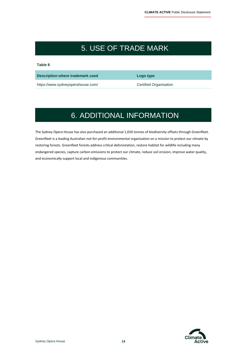## 5.USE OF TRADE MARK

**Table 8** 

**Description where trademark used Constrainer Logo type** 

https://www.sydneyoperahouse.com/ Certified Organisation

# 6.ADDITIONAL INFORMATION

The Sydney Opera House has also purchased an additional 1,650 tonnes of biodiversity offsets through Greenfleet. Greenfleet is a leading Australian not-for-profit environmental organisation on a mission to protect our climate by restoring forests. Greenfleet forests address critical deforestation, restore habitat for wildlife including many endangered species, capture carbon emissions to protect our climate, reduce soil erosion, improve water quality, and economically support local and indigenous communities.

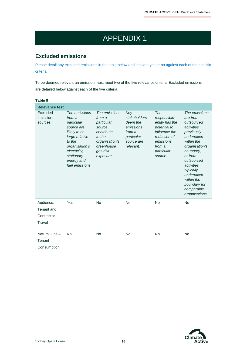# APPENDIX 1

### **Excluded emissions**

Please detail any excluded emissions in the table below and indicate yes or no against each of the specific criteria.

To be deemed relevant an emission must meet two of the five relevance criteria. Excluded emissions are detailed below against each of the five criteria.

| Table 9                                         |                                                                                                                                                                                 |                                                                                                                                  |                                                                                                 |                                                                                                                                       |                                                                                                                                                                                                                                                                |
|-------------------------------------------------|---------------------------------------------------------------------------------------------------------------------------------------------------------------------------------|----------------------------------------------------------------------------------------------------------------------------------|-------------------------------------------------------------------------------------------------|---------------------------------------------------------------------------------------------------------------------------------------|----------------------------------------------------------------------------------------------------------------------------------------------------------------------------------------------------------------------------------------------------------------|
| <b>Relevance test</b>                           |                                                                                                                                                                                 |                                                                                                                                  |                                                                                                 |                                                                                                                                       |                                                                                                                                                                                                                                                                |
| Excluded<br>emission<br>sources                 | The emissions<br>from a<br>particular<br>source are<br>likely to be<br>large relative<br>to the<br>organisation's<br>electricity,<br>stationary<br>energy and<br>fuel emissions | The emissions<br>from a<br>particular<br>source<br>contribute<br>to the<br>organisation's<br>greenhouse<br>gas risk<br>exposure. | Key<br>stakeholders<br>deem the<br>emissions<br>from a<br>particular<br>source are<br>relevant. | The<br>responsible<br>entity has the<br>potential to<br>influence the<br>reduction of<br>emissions<br>from a<br>particular<br>source. | The emissions<br>are from<br>outsourced<br>activities<br>previously<br>undertaken<br>within the<br>organisation's<br>boundary,<br>or from<br>outsourced<br>activities<br>typically<br>undertaken<br>within the<br>boundary for<br>comparable<br>organisations. |
| Audience,<br>Tenant and<br>Contractor<br>Travel | Yes                                                                                                                                                                             | <b>No</b>                                                                                                                        | <b>No</b>                                                                                       | <b>No</b>                                                                                                                             | No                                                                                                                                                                                                                                                             |
| Natural Gas-<br>Tenant<br>Consumption           | <b>No</b>                                                                                                                                                                       | <b>No</b>                                                                                                                        | <b>No</b>                                                                                       | <b>No</b>                                                                                                                             | No                                                                                                                                                                                                                                                             |

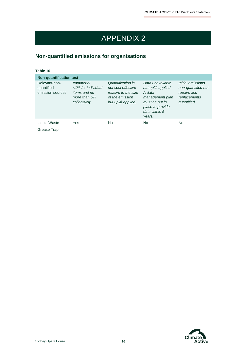# APPENDIX 2

### **Non-quantified emissions for organisations**

| ۰.<br>.<br>٠ | × |  |  |  |
|--------------|---|--|--|--|
|              |   |  |  |  |

| <b>Non-quantification test</b>                  |                                                                                           |                                                                                                           |                                                                                                                                       |                                                                                      |  |  |  |
|-------------------------------------------------|-------------------------------------------------------------------------------------------|-----------------------------------------------------------------------------------------------------------|---------------------------------------------------------------------------------------------------------------------------------------|--------------------------------------------------------------------------------------|--|--|--|
| Relevant-non-<br>quantified<br>emission sources | Immaterial<br><1% for individual<br><i>items and no</i><br>more than $5%$<br>collectively | Quantification is<br>not cost effective<br>relative to the size<br>of the emission<br>but uplift applied. | Data unavailable<br>but uplift applied.<br>A data<br>management plan<br>must be put in<br>place to provide<br>data within 5<br>years. | Initial emissions<br>non-quantified but<br>repairs and<br>replacements<br>quantified |  |  |  |
| Liquid Waste -<br>Grease Trap                   | Yes                                                                                       | No                                                                                                        | No.                                                                                                                                   | N <sub>o</sub>                                                                       |  |  |  |